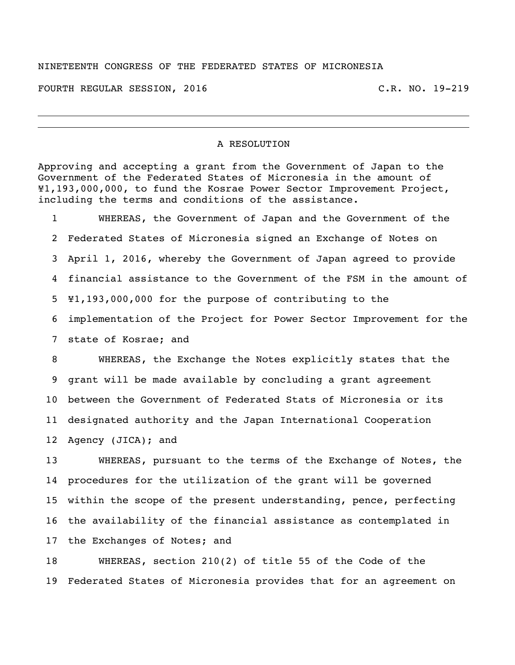## NINETEENTH CONGRESS OF THE FEDERATED STATES OF MICRONESIA

FOURTH REGULAR SESSION, 2016 C.R. NO. 19-219

## A RESOLUTION

Approving and accepting a grant from the Government of Japan to the Government of the Federated States of Micronesia in the amount of ¥1,193,000,000, to fund the Kosrae Power Sector Improvement Project, including the terms and conditions of the assistance.

 WHEREAS, the Government of Japan and the Government of the Federated States of Micronesia signed an Exchange of Notes on April 1, 2016, whereby the Government of Japan agreed to provide financial assistance to the Government of the FSM in the amount of ¥1,193,000,000 for the purpose of contributing to the implementation of the Project for Power Sector Improvement for the state of Kosrae; and

 WHEREAS, the Exchange the Notes explicitly states that the grant will be made available by concluding a grant agreement between the Government of Federated Stats of Micronesia or its designated authority and the Japan International Cooperation Agency (JICA); and

 WHEREAS, pursuant to the terms of the Exchange of Notes, the procedures for the utilization of the grant will be governed within the scope of the present understanding, pence, perfecting the availability of the financial assistance as contemplated in the Exchanges of Notes; and

 WHEREAS, section 210(2) of title 55 of the Code of the Federated States of Micronesia provides that for an agreement on